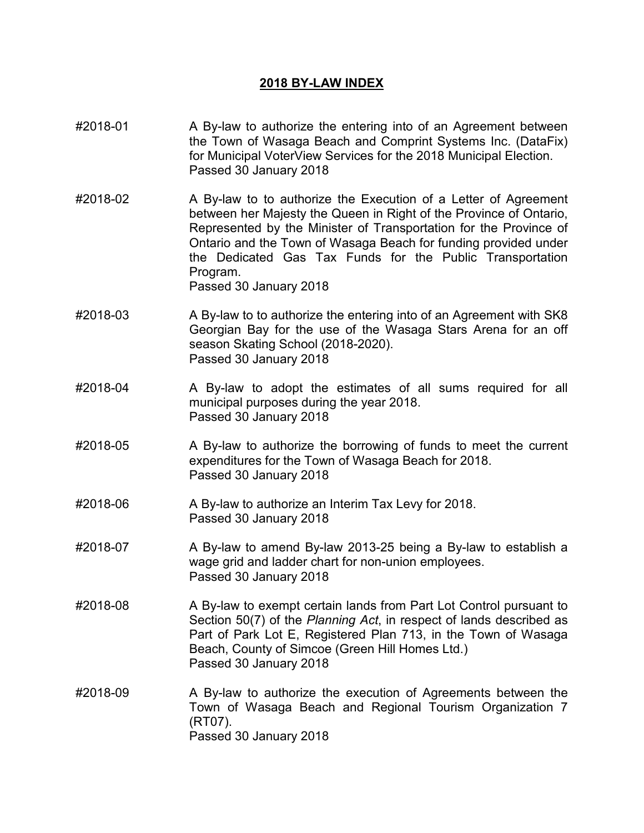## **2018 BY-LAW INDEX**

- #2018-01 A By-law to authorize the entering into of an Agreement between the Town of Wasaga Beach and Comprint Systems Inc. (DataFix) for Municipal VoterView Services for the 2018 Municipal Election. Passed 30 January 2018
- #2018-02 A By-law to to authorize the Execution of a Letter of Agreement between her Majesty the Queen in Right of the Province of Ontario, Represented by the Minister of Transportation for the Province of Ontario and the Town of Wasaga Beach for funding provided under the Dedicated Gas Tax Funds for the Public Transportation Program. Passed 30 January 2018
- #2018-03 A By-law to to authorize the entering into of an Agreement with SK8 Georgian Bay for the use of the Wasaga Stars Arena for an off season Skating School (2018-2020). Passed 30 January 2018
- #2018-04 A By-law to adopt the estimates of all sums required for all municipal purposes during the year 2018. Passed 30 January 2018
- #2018-05 A By-law to authorize the borrowing of funds to meet the current expenditures for the Town of Wasaga Beach for 2018. Passed 30 January 2018
- #2018-06 A By-law to authorize an Interim Tax Levy for 2018. Passed 30 January 2018
- #2018-07 A By-law to amend By-law 2013-25 being a By-law to establish a wage grid and ladder chart for non-union employees. Passed 30 January 2018
- #2018-08 A By-law to exempt certain lands from Part Lot Control pursuant to Section 50(7) of the *Planning Act*, in respect of lands described as Part of Park Lot E, Registered Plan 713, in the Town of Wasaga Beach, County of Simcoe (Green Hill Homes Ltd.) Passed 30 January 2018
- #2018-09 A By-law to authorize the execution of Agreements between the Town of Wasaga Beach and Regional Tourism Organization 7 (RT07). Passed 30 January 2018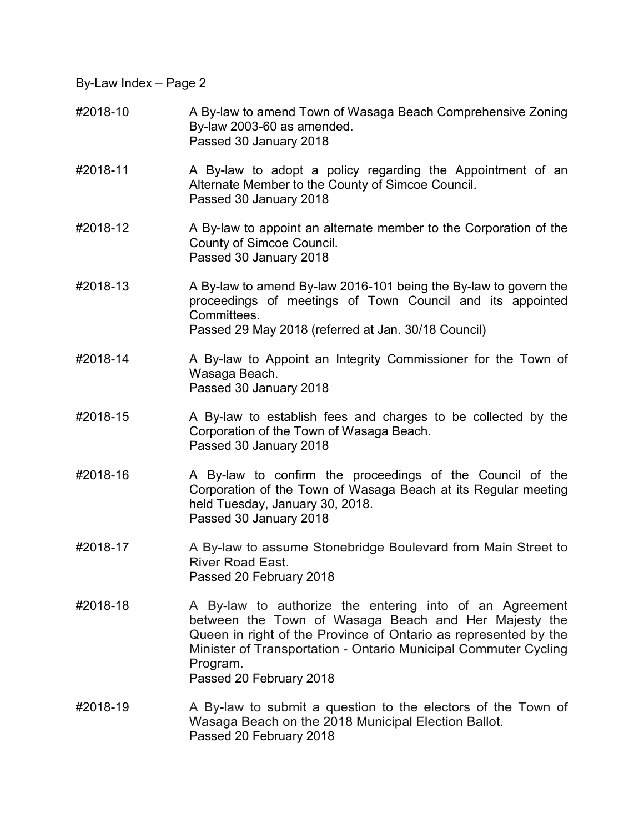- #2018-10 A By-law to amend Town of Wasaga Beach Comprehensive Zoning By-law 2003-60 as amended. Passed 30 January 2018
- #2018-11 A By-law to adopt a policy regarding the Appointment of an Alternate Member to the County of Simcoe Council. Passed 30 January 2018
- #2018-12 A By-law to appoint an alternate member to the Corporation of the County of Simcoe Council. Passed 30 January 2018
- #2018-13 A By-law to amend By-law 2016-101 being the By-law to govern the proceedings of meetings of Town Council and its appointed **Committees** Passed 29 May 2018 (referred at Jan. 30/18 Council)
- #2018-14 A By-law to Appoint an Integrity Commissioner for the Town of Wasaga Beach. Passed 30 January 2018
- #2018-15 A By-law to establish fees and charges to be collected by the Corporation of the Town of Wasaga Beach. Passed 30 January 2018
- #2018-16 A By-law to confirm the proceedings of the Council of the Corporation of the Town of Wasaga Beach at its Regular meeting held Tuesday, January 30, 2018. Passed 30 January 2018
- #2018-17 A By-law to assume Stonebridge Boulevard from Main Street to River Road East. Passed 20 February 2018
- #2018-18 A By-law to authorize the entering into of an Agreement between the Town of Wasaga Beach and Her Majesty the Queen in right of the Province of Ontario as represented by the Minister of Transportation - Ontario Municipal Commuter Cycling Program. Passed 20 February 2018
- #2018-19 A By-law to submit a question to the electors of the Town of Wasaga Beach on the 2018 Municipal Election Ballot. Passed 20 February 2018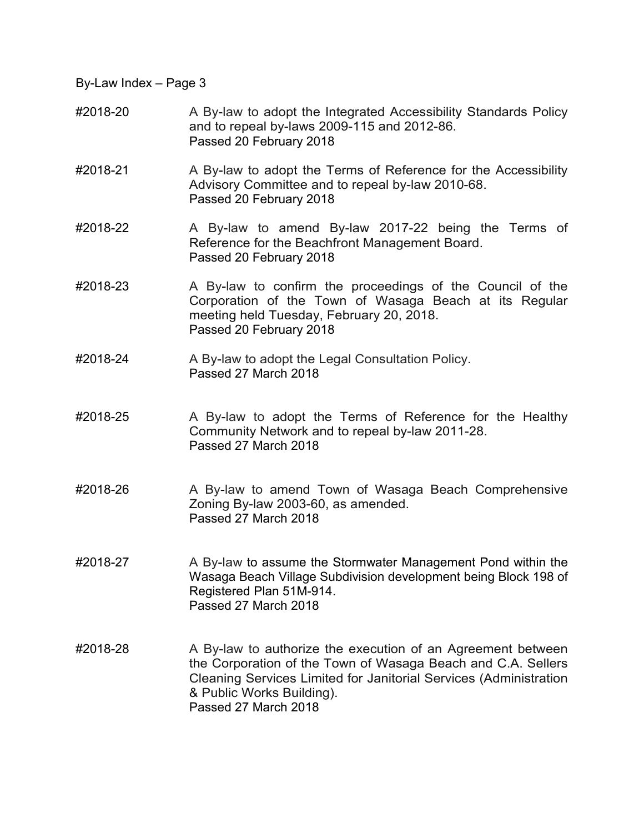- #2018-20 A By-law to adopt the Integrated Accessibility Standards Policy and to repeal by-laws 2009-115 and 2012-86. Passed 20 February 2018
- #2018-21 A By-law to adopt the Terms of Reference for the Accessibility Advisory Committee and to repeal by-law 2010-68. Passed 20 February 2018
- #2018-22 A By-law to amend By-law 2017-22 being the Terms of Reference for the Beachfront Management Board. Passed 20 February 2018
- #2018-23 A By-law to confirm the proceedings of the Council of the Corporation of the Town of Wasaga Beach at its Regular meeting held Tuesday, February 20, 2018. Passed 20 February 2018
- #2018-24 A By-law to adopt the Legal Consultation Policy. Passed 27 March 2018
- #2018-25 A By-law to adopt the Terms of Reference for the Healthy Community Network and to repeal by-law 2011-28. Passed 27 March 2018
- #2018-26 A By-law to amend Town of Wasaga Beach Comprehensive Zoning By-law 2003-60, as amended. Passed 27 March 2018
- #2018-27 A By-law to assume the Stormwater Management Pond within the Wasaga Beach Village Subdivision development being Block 198 of Registered Plan 51M-914. Passed 27 March 2018
- #2018-28 A By-law to authorize the execution of an Agreement between the Corporation of the Town of Wasaga Beach and C.A. Sellers Cleaning Services Limited for Janitorial Services (Administration & Public Works Building). Passed 27 March 2018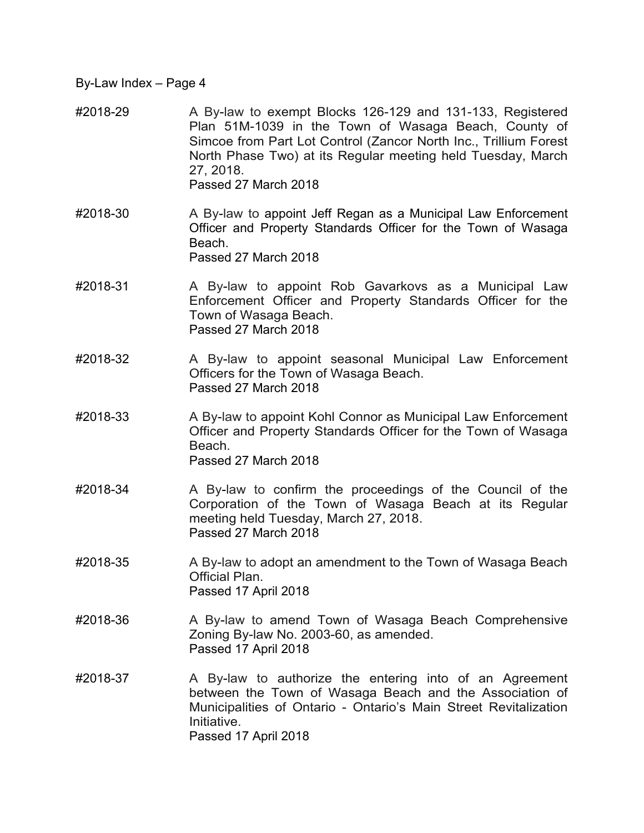- #2018-29 A By-law to exempt Blocks 126-129 and 131-133, Registered Plan 51M-1039 in the Town of Wasaga Beach, County of Simcoe from Part Lot Control (Zancor North Inc., Trillium Forest North Phase Two) at its Regular meeting held Tuesday, March 27, 2018. Passed 27 March 2018
- #2018-30 A By-law to appoint Jeff Regan as a Municipal Law Enforcement Officer and Property Standards Officer for the Town of Wasaga **Beach** Passed 27 March 2018
- #2018-31 A By-law to appoint Rob Gavarkovs as a Municipal Law Enforcement Officer and Property Standards Officer for the Town of Wasaga Beach. Passed 27 March 2018
- #2018-32 A By-law to appoint seasonal Municipal Law Enforcement Officers for the Town of Wasaga Beach. Passed 27 March 2018
- #2018-33 A By-law to appoint Kohl Connor as Municipal Law Enforcement Officer and Property Standards Officer for the Town of Wasaga Beach. Passed 27 March 2018
- #2018-34 A By-law to confirm the proceedings of the Council of the Corporation of the Town of Wasaga Beach at its Regular meeting held Tuesday, March 27, 2018. Passed 27 March 2018
- #2018-35 A By-law to adopt an amendment to the Town of Wasaga Beach Official Plan. Passed 17 April 2018
- #2018-36 A By-law to amend Town of Wasaga Beach Comprehensive Zoning By-law No. 2003-60, as amended. Passed 17 April 2018
- #2018-37 A By-law to authorize the entering into of an Agreement between the Town of Wasaga Beach and the Association of Municipalities of Ontario - Ontario's Main Street Revitalization Initiative. Passed 17 April 2018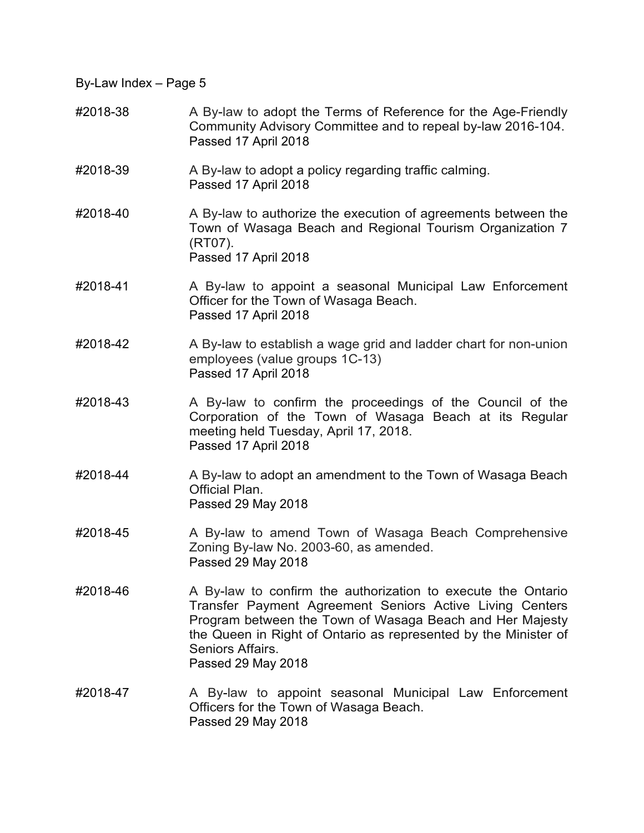- #2018-38 A By-law to adopt the Terms of Reference for the Age-Friendly Community Advisory Committee and to repeal by-law 2016-104. Passed 17 April 2018
- #2018-39 A By-law to adopt a policy regarding traffic calming. Passed 17 April 2018
- #2018-40 A By-law to authorize the execution of agreements between the Town of Wasaga Beach and Regional Tourism Organization 7 (RT07). Passed 17 April 2018
- #2018-41 A By-law to appoint a seasonal Municipal Law Enforcement Officer for the Town of Wasaga Beach. Passed 17 April 2018
- #2018-42 A By-law to establish a wage grid and ladder chart for non-union employees (value groups 1C-13) Passed 17 April 2018
- #2018-43 A By-law to confirm the proceedings of the Council of the Corporation of the Town of Wasaga Beach at its Regular meeting held Tuesday, April 17, 2018. Passed 17 April 2018
- #2018-44 A By-law to adopt an amendment to the Town of Wasaga Beach Official Plan. Passed 29 May 2018
- #2018-45 A By-law to amend Town of Wasaga Beach Comprehensive Zoning By-law No. 2003-60, as amended. Passed 29 May 2018
- #2018-46 A By-law to confirm the authorization to execute the Ontario Transfer Payment Agreement Seniors Active Living Centers Program between the Town of Wasaga Beach and Her Majesty the Queen in Right of Ontario as represented by the Minister of Seniors Affairs. Passed 29 May 2018
- #2018-47 A By-law to appoint seasonal Municipal Law Enforcement Officers for the Town of Wasaga Beach. Passed 29 May 2018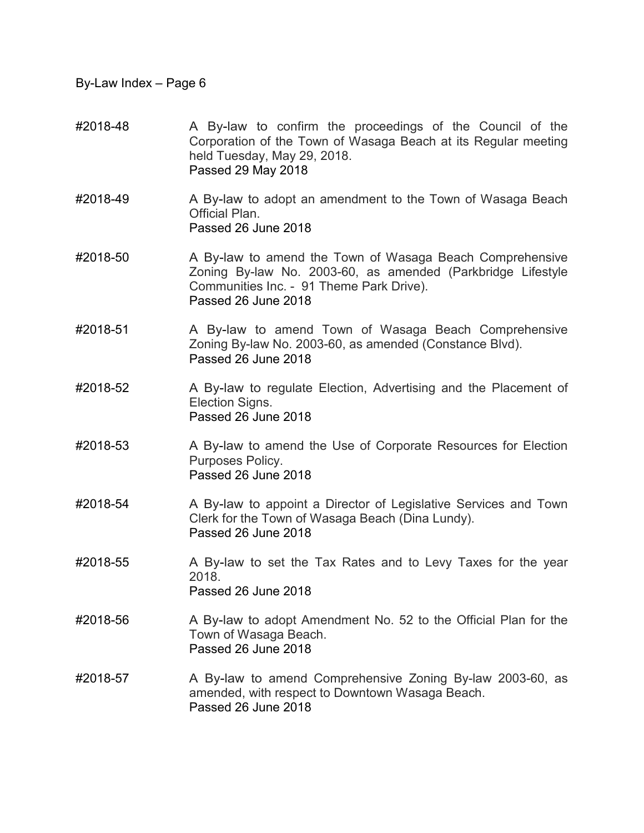- #2018-48 A By-law to confirm the proceedings of the Council of the Corporation of the Town of Wasaga Beach at its Regular meeting held Tuesday, May 29, 2018. Passed 29 May 2018
- #2018-49 A By-law to adopt an amendment to the Town of Wasaga Beach Official Plan. Passed 26 June 2018
- #2018-50 A By-law to amend the Town of Wasaga Beach Comprehensive Zoning By-law No. 2003-60, as amended (Parkbridge Lifestyle Communities Inc. - 91 Theme Park Drive). Passed 26 June 2018
- #2018-51 A By-law to amend Town of Wasaga Beach Comprehensive Zoning By-law No. 2003-60, as amended (Constance Blvd). Passed 26 June 2018
- #2018-52 A By-law to regulate Election, Advertising and the Placement of Election Signs. Passed 26 June 2018
- #2018-53 A By-law to amend the Use of Corporate Resources for Election Purposes Policy. Passed 26 June 2018
- #2018-54 A By-law to appoint a Director of Legislative Services and Town Clerk for the Town of Wasaga Beach (Dina Lundy). Passed 26 June 2018
- #2018-55 A By-law to set the Tax Rates and to Levy Taxes for the year 2018. Passed 26 June 2018
- #2018-56 A By-law to adopt Amendment No. 52 to the Official Plan for the Town of Wasaga Beach. Passed 26 June 2018
- #2018-57 A By-law to amend Comprehensive Zoning By-law 2003-60, as amended, with respect to Downtown Wasaga Beach. Passed 26 June 2018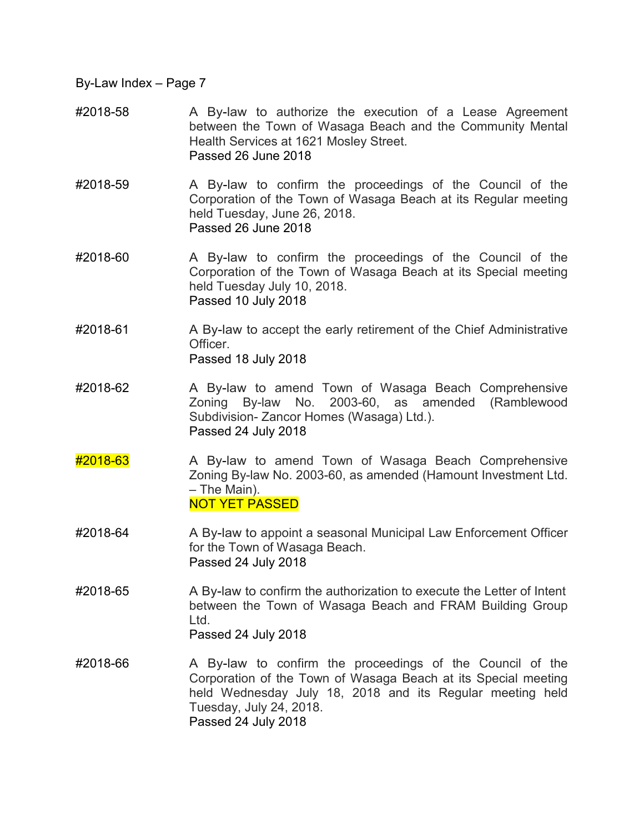- #2018-58 A By-law to authorize the execution of a Lease Agreement between the Town of Wasaga Beach and the Community Mental Health Services at 1621 Mosley Street. Passed 26 June 2018
- #2018-59 A By-law to confirm the proceedings of the Council of the Corporation of the Town of Wasaga Beach at its Regular meeting held Tuesday, June 26, 2018. Passed 26 June 2018
- #2018-60 A By-law to confirm the proceedings of the Council of the Corporation of the Town of Wasaga Beach at its Special meeting held Tuesday July 10, 2018. Passed 10 July 2018
- #2018-61 A By-law to accept the early retirement of the Chief Administrative Officer. Passed 18 July 2018
- #2018-62 A By-law to amend Town of Wasaga Beach Comprehensive Zoning By-law No. 2003-60, as amended (Ramblewood Subdivision- Zancor Homes (Wasaga) Ltd.). Passed 24 July 2018
- #2018-63 A By-law to amend Town of Wasaga Beach Comprehensive Zoning By-law No. 2003-60, as amended (Hamount Investment Ltd. – The Main). NOT YET PASSED
- #2018-64 A By-law to appoint a seasonal Municipal Law Enforcement Officer for the Town of Wasaga Beach. Passed 24 July 2018
- #2018-65 A By-law to confirm the authorization to execute the Letter of Intent between the Town of Wasaga Beach and FRAM Building Group Ltd. Passed 24 July 2018
- #2018-66 A By-law to confirm the proceedings of the Council of the Corporation of the Town of Wasaga Beach at its Special meeting held Wednesday July 18, 2018 and its Regular meeting held Tuesday, July 24, 2018. Passed 24 July 2018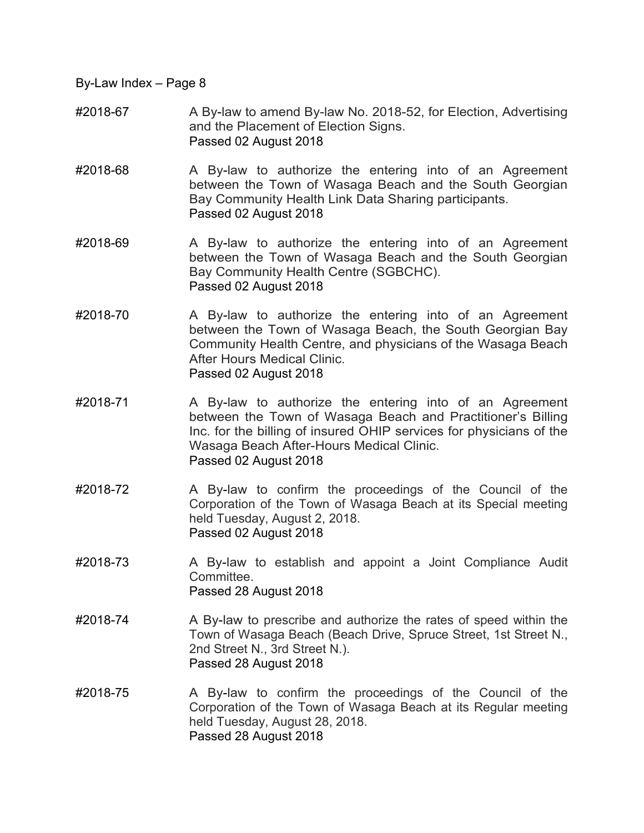- #2018-67 A By-law to amend By-law No. 2018-52, for Election, Advertising and the Placement of Election Signs. Passed 02 August 2018
- #2018-68 A By-law to authorize the entering into of an Agreement between the Town of Wasaga Beach and the South Georgian Bay Community Health Link Data Sharing participants. Passed 02 August 2018
- #2018-69 A By-law to authorize the entering into of an Agreement between the Town of Wasaga Beach and the South Georgian Bay Community Health Centre (SGBCHC). Passed 02 August 2018
- #2018-70 A By-law to authorize the entering into of an Agreement between the Town of Wasaga Beach, the South Georgian Bay Community Health Centre, and physicians of the Wasaga Beach After Hours Medical Clinic. Passed 02 August 2018
- #2018-71 A By-law to authorize the entering into of an Agreement between the Town of Wasaga Beach and Practitioner's Billing Inc. for the billing of insured OHIP services for physicians of the Wasaga Beach After-Hours Medical Clinic. Passed 02 August 2018
- #2018-72 A By-law to confirm the proceedings of the Council of the Corporation of the Town of Wasaga Beach at its Special meeting held Tuesday, August 2, 2018. Passed 02 August 2018
- #2018-73 A By-law to establish and appoint a Joint Compliance Audit **Committee** Passed 28 August 2018
- #2018-74 A By-law to prescribe and authorize the rates of speed within the Town of Wasaga Beach (Beach Drive, Spruce Street, 1st Street N., 2nd Street N., 3rd Street N.). Passed 28 August 2018
- #2018-75 A By-law to confirm the proceedings of the Council of the Corporation of the Town of Wasaga Beach at its Regular meeting held Tuesday, August 28, 2018. Passed 28 August 2018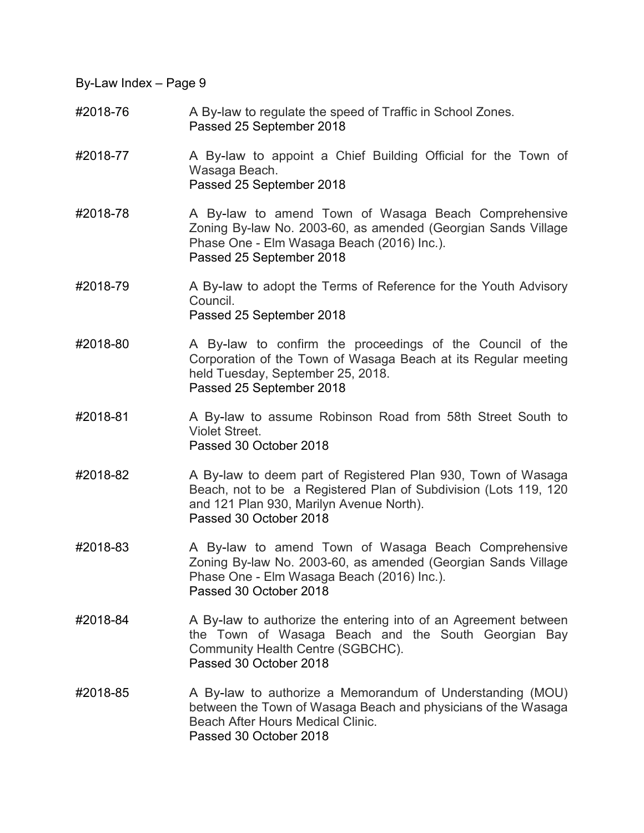- #2018-76 A By-law to regulate the speed of Traffic in School Zones. Passed 25 September 2018
- #2018-77 A By-law to appoint a Chief Building Official for the Town of Wasaga Beach. Passed 25 September 2018
- #2018-78 A By-law to amend Town of Wasaga Beach Comprehensive Zoning By-law No. 2003-60, as amended (Georgian Sands Village Phase One - Elm Wasaga Beach (2016) Inc.). Passed 25 September 2018
- #2018-79 A By-law to adopt the Terms of Reference for the Youth Advisory Council. Passed 25 September 2018
- #2018-80 A By-law to confirm the proceedings of the Council of the Corporation of the Town of Wasaga Beach at its Regular meeting held Tuesday, September 25, 2018. Passed 25 September 2018
- #2018-81 A By-law to assume Robinson Road from 58th Street South to Violet Street. Passed 30 October 2018
- #2018-82 A By-law to deem part of Registered Plan 930, Town of Wasaga Beach, not to be a Registered Plan of Subdivision (Lots 119, 120 and 121 Plan 930, Marilyn Avenue North). Passed 30 October 2018
- #2018-83 A By-law to amend Town of Wasaga Beach Comprehensive Zoning By-law No. 2003-60, as amended (Georgian Sands Village Phase One - Elm Wasaga Beach (2016) Inc.). Passed 30 October 2018
- #2018-84 A By-law to authorize the entering into of an Agreement between the Town of Wasaga Beach and the South Georgian Bay Community Health Centre (SGBCHC). Passed 30 October 2018
- #2018-85 A By-law to authorize a Memorandum of Understanding (MOU) between the Town of Wasaga Beach and physicians of the Wasaga Beach After Hours Medical Clinic. Passed 30 October 2018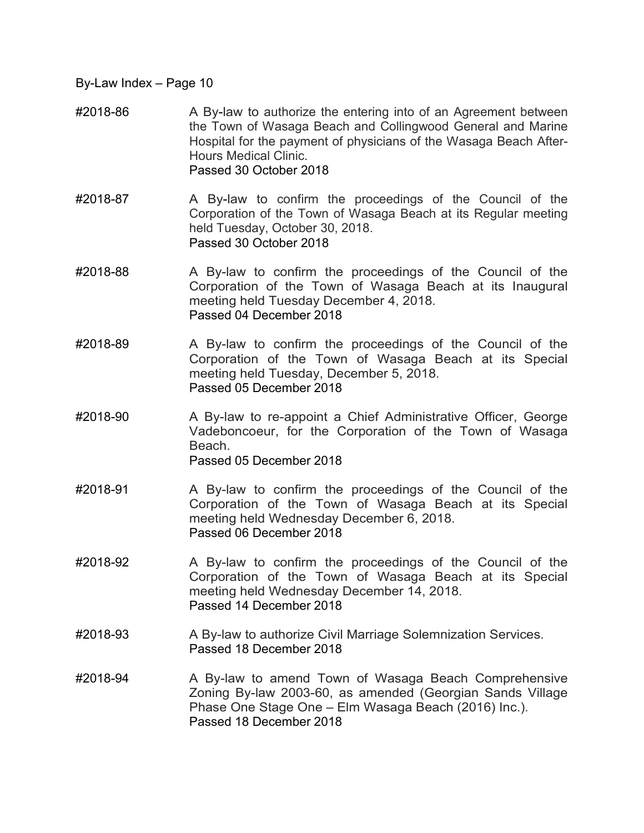- #2018-86 A By-law to authorize the entering into of an Agreement between the Town of Wasaga Beach and Collingwood General and Marine Hospital for the payment of physicians of the Wasaga Beach After-Hours Medical Clinic. Passed 30 October 2018
- #2018-87 A By-law to confirm the proceedings of the Council of the Corporation of the Town of Wasaga Beach at its Regular meeting held Tuesday, October 30, 2018. Passed 30 October 2018
- #2018-88 A By-law to confirm the proceedings of the Council of the Corporation of the Town of Wasaga Beach at its Inaugural meeting held Tuesday December 4, 2018. Passed 04 December 2018
- #2018-89 A By-law to confirm the proceedings of the Council of the Corporation of the Town of Wasaga Beach at its Special meeting held Tuesday, December 5, 2018. Passed 05 December 2018
- #2018-90 A By-law to re-appoint a Chief Administrative Officer, George Vadeboncoeur, for the Corporation of the Town of Wasaga Beach. Passed 05 December 2018
- #2018-91 A By-law to confirm the proceedings of the Council of the Corporation of the Town of Wasaga Beach at its Special meeting held Wednesday December 6, 2018. Passed 06 December 2018
- #2018-92 A By-law to confirm the proceedings of the Council of the Corporation of the Town of Wasaga Beach at its Special meeting held Wednesday December 14, 2018. Passed 14 December 2018
- #2018-93 A By-law to authorize Civil Marriage Solemnization Services. Passed 18 December 2018
- #2018-94 A By-law to amend Town of Wasaga Beach Comprehensive Zoning By-law 2003-60, as amended (Georgian Sands Village Phase One Stage One – Elm Wasaga Beach (2016) Inc.). Passed 18 December 2018